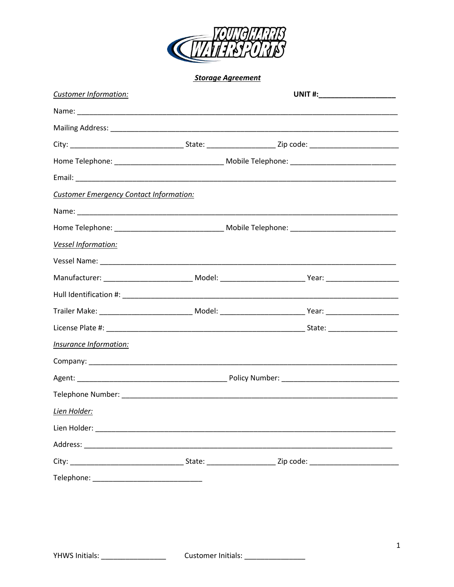

**Storage Agreement** 

| Customer Information:                          |  |  |  |
|------------------------------------------------|--|--|--|
|                                                |  |  |  |
|                                                |  |  |  |
|                                                |  |  |  |
|                                                |  |  |  |
|                                                |  |  |  |
| <b>Customer Emergency Contact Information:</b> |  |  |  |
|                                                |  |  |  |
|                                                |  |  |  |
| Vessel Information:                            |  |  |  |
|                                                |  |  |  |
|                                                |  |  |  |
|                                                |  |  |  |
|                                                |  |  |  |
|                                                |  |  |  |
| Insurance Information:                         |  |  |  |
|                                                |  |  |  |
|                                                |  |  |  |
|                                                |  |  |  |
| Lien Holder:                                   |  |  |  |
|                                                |  |  |  |
|                                                |  |  |  |
|                                                |  |  |  |
|                                                |  |  |  |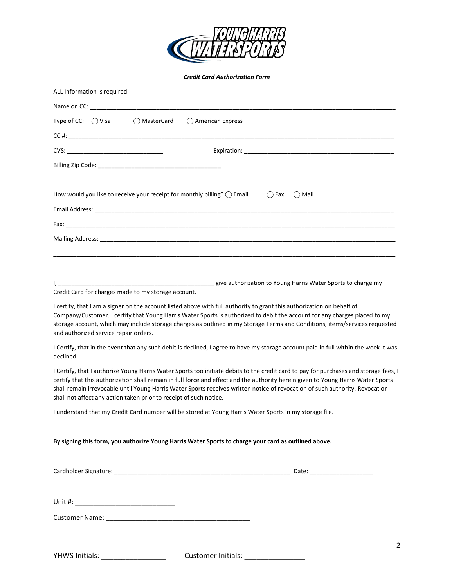

*Credit Card Authorization Form* 

| ALL Information is required:                                                                                                                                                                                                   |               |                                                                                                                                                                                                                                                                                                                                                                                                                                                                                                                                                                                                                                                                                 |  |  |
|--------------------------------------------------------------------------------------------------------------------------------------------------------------------------------------------------------------------------------|---------------|---------------------------------------------------------------------------------------------------------------------------------------------------------------------------------------------------------------------------------------------------------------------------------------------------------------------------------------------------------------------------------------------------------------------------------------------------------------------------------------------------------------------------------------------------------------------------------------------------------------------------------------------------------------------------------|--|--|
|                                                                                                                                                                                                                                |               |                                                                                                                                                                                                                                                                                                                                                                                                                                                                                                                                                                                                                                                                                 |  |  |
| Type of CC: $\bigcirc$ Visa                                                                                                                                                                                                    | () MasterCard | () American Express                                                                                                                                                                                                                                                                                                                                                                                                                                                                                                                                                                                                                                                             |  |  |
|                                                                                                                                                                                                                                |               |                                                                                                                                                                                                                                                                                                                                                                                                                                                                                                                                                                                                                                                                                 |  |  |
|                                                                                                                                                                                                                                |               |                                                                                                                                                                                                                                                                                                                                                                                                                                                                                                                                                                                                                                                                                 |  |  |
| Billing Zip Code: The Commission of the Contract of the Contract of the Contract of the Contract of the Contract of the Contract of the Contract of the Contract of the Contract of the Contract of the Contract of the Contra |               |                                                                                                                                                                                                                                                                                                                                                                                                                                                                                                                                                                                                                                                                                 |  |  |
|                                                                                                                                                                                                                                |               |                                                                                                                                                                                                                                                                                                                                                                                                                                                                                                                                                                                                                                                                                 |  |  |
|                                                                                                                                                                                                                                |               | How would you like to receive your receipt for monthly billing? $\bigcirc$ Email<br>$\bigcap$ Fax<br>( ) Mail                                                                                                                                                                                                                                                                                                                                                                                                                                                                                                                                                                   |  |  |
|                                                                                                                                                                                                                                |               |                                                                                                                                                                                                                                                                                                                                                                                                                                                                                                                                                                                                                                                                                 |  |  |
|                                                                                                                                                                                                                                |               |                                                                                                                                                                                                                                                                                                                                                                                                                                                                                                                                                                                                                                                                                 |  |  |
|                                                                                                                                                                                                                                |               |                                                                                                                                                                                                                                                                                                                                                                                                                                                                                                                                                                                                                                                                                 |  |  |
|                                                                                                                                                                                                                                |               |                                                                                                                                                                                                                                                                                                                                                                                                                                                                                                                                                                                                                                                                                 |  |  |
|                                                                                                                                                                                                                                |               |                                                                                                                                                                                                                                                                                                                                                                                                                                                                                                                                                                                                                                                                                 |  |  |
| Credit Card for charges made to my storage account.                                                                                                                                                                            |               | give authorization to Young Harris Water Sports to charge my                                                                                                                                                                                                                                                                                                                                                                                                                                                                                                                                                                                                                    |  |  |
| and authorized service repair orders.<br>declined.                                                                                                                                                                             |               | Company/Customer. I certify that Young Harris Water Sports is authorized to debit the account for any charges placed to my<br>storage account, which may include storage charges as outlined in my Storage Terms and Conditions, items/services requested<br>I Certify, that in the event that any such debit is declined, I agree to have my storage account paid in full within the week it was<br>I Certify, that I authorize Young Harris Water Sports too initiate debits to the credit card to pay for purchases and storage fees, I<br>certify that this authorization shall remain in full force and effect and the authority herein given to Young Harris Water Sports |  |  |
| shall not affect any action taken prior to receipt of such notice.                                                                                                                                                             |               | shall remain irrevocable until Young Harris Water Sports receives written notice of revocation of such authority. Revocation                                                                                                                                                                                                                                                                                                                                                                                                                                                                                                                                                    |  |  |
|                                                                                                                                                                                                                                |               | I understand that my Credit Card number will be stored at Young Harris Water Sports in my storage file.                                                                                                                                                                                                                                                                                                                                                                                                                                                                                                                                                                         |  |  |
|                                                                                                                                                                                                                                |               | By signing this form, you authorize Young Harris Water Sports to charge your card as outlined above.                                                                                                                                                                                                                                                                                                                                                                                                                                                                                                                                                                            |  |  |
|                                                                                                                                                                                                                                |               | Cardholder Signature: etc. but also a series and contact the control of the control of the control of the control of the control of the control of the control of the control of the control of the control of the control of                                                                                                                                                                                                                                                                                                                                                                                                                                                   |  |  |
|                                                                                                                                                                                                                                |               |                                                                                                                                                                                                                                                                                                                                                                                                                                                                                                                                                                                                                                                                                 |  |  |
|                                                                                                                                                                                                                                |               |                                                                                                                                                                                                                                                                                                                                                                                                                                                                                                                                                                                                                                                                                 |  |  |
|                                                                                                                                                                                                                                |               | 2                                                                                                                                                                                                                                                                                                                                                                                                                                                                                                                                                                                                                                                                               |  |  |
| YHWS Initials: __________________                                                                                                                                                                                              |               | Customer Initials: ________________                                                                                                                                                                                                                                                                                                                                                                                                                                                                                                                                                                                                                                             |  |  |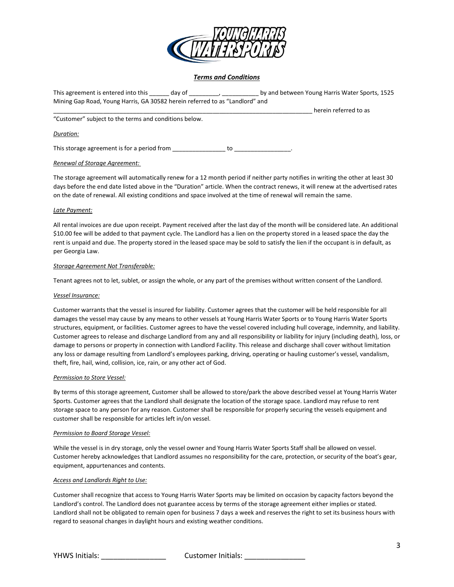

# *Terms and Conditions*

| This agreement is entered into this day of                                   |    | by and between Young Harris Water Sports, 1525 |
|------------------------------------------------------------------------------|----|------------------------------------------------|
| Mining Gap Road, Young Harris, GA 30582 herein referred to as "Landlord" and |    |                                                |
|                                                                              |    | herein referred to as                          |
| "Customer" subject to the terms and conditions below.                        |    |                                                |
| Duration:                                                                    |    |                                                |
| This storage agreement is for a period from                                  | to |                                                |

## *Renewal of Storage Agreement:*

The storage agreement will automatically renew for a 12 month period if neither party notifies in writing the other at least 30 days before the end date listed above in the "Duration" article. When the contract renews, it will renew at the advertised rates on the date of renewal. All existing conditions and space involved at the time of renewal will remain the same.

### *Late Payment:*

All rental invoices are due upon receipt. Payment received after the last day of the month will be considered late. An additional \$10.00 fee will be added to that payment cycle. The Landlord has a lien on the property stored in a leased space the day the rent is unpaid and due. The property stored in the leased space may be sold to satisfy the lien if the occupant is in default, as per Georgia Law.

### *Storage Agreement Not Transferable:*

Tenant agrees not to let, sublet, or assign the whole, or any part of the premises without written consent of the Landlord.

### *Vessel Insurance:*

Customer warrants that the vessel is insured for liability. Customer agrees that the customer will be held responsible for all damages the vessel may cause by any means to other vessels at Young Harris Water Sports or to Young Harris Water Sports structures, equipment, or facilities. Customer agrees to have the vessel covered including hull coverage, indemnity, and liability. Customer agrees to release and discharge Landlord from any and all responsibility or liability for injury (including death), loss, or damage to persons or property in connection with Landlord Facility. This release and discharge shall cover without limitation any loss or damage resulting from Landlord's employees parking, driving, operating or hauling customer's vessel, vandalism, theft, fire, hail, wind, collision, ice, rain, or any other act of God.

### *Permission to Store Vessel:*

By terms of this storage agreement, Customer shall be allowed to store/park the above described vessel at Young Harris Water Sports. Customer agrees that the Landlord shall designate the location of the storage space. Landlord may refuse to rent storage space to any person for any reason. Customer shall be responsible for properly securing the vessels equipment and customer shall be responsible for articles left in/on vessel.

### *Permission to Board Storage Vessel:*

While the vessel is in dry storage, only the vessel owner and Young Harris Water Sports Staff shall be allowed on vessel. Customer hereby acknowledges that Landlord assumes no responsibility for the care, protection, or security of the boat's gear, equipment, appurtenances and contents.

## *Access and Landlords Right to Use:*

Customer shall recognize that access to Young Harris Water Sports may be limited on occasion by capacity factors beyond the Landlord's control. The Landlord does not guarantee access by terms of the storage agreement either implies or stated. Landlord shall not be obligated to remain open for business 7 days a week and reserves the right to set its business hours with regard to seasonal changes in daylight hours and existing weather conditions.